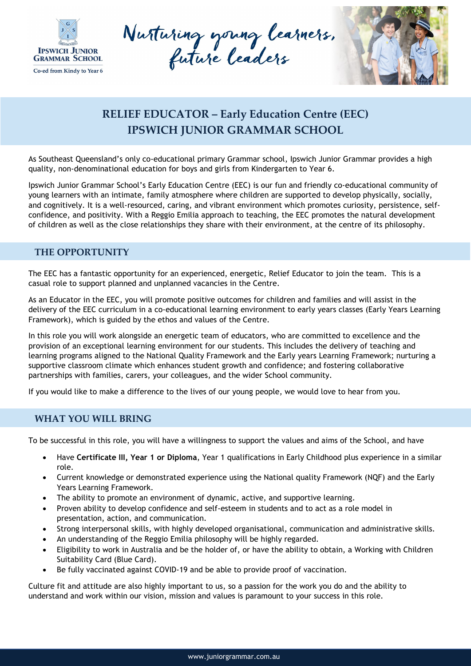

Nutturing young learners.



## **RELIEF EDUCATOR – Early Education Centre (EEC) IPSWICH JUNIOR GRAMMAR SCHOOL**

As Southeast Queensland's only co-educational primary Grammar school, Ipswich Junior Grammar provides a high quality, non-denominational education for boys and girls from Kindergarten to Year 6.

Ipswich Junior Grammar School's Early Education Centre (EEC) is our fun and friendly co-educational community of young learners with an intimate, family atmosphere where children are supported to develop physically, socially, and cognitively. It is a well-resourced, caring, and vibrant environment which promotes curiosity, persistence, selfconfidence, and positivity. With a Reggio Emilia approach to teaching, the EEC promotes the natural development of children as well as the close relationships they share with their environment, at the centre of its philosophy.

## **THE OPPORTUNITY**

The EEC has a fantastic opportunity for an experienced, energetic, Relief Educator to join the team. This is a casual role to support planned and unplanned vacancies in the Centre.

As an Educator in the EEC, you will promote positive outcomes for children and families and will assist in the delivery of the EEC curriculum in a co-educational learning environment to early years classes (Early Years Learning Framework), which is guided by the ethos and values of the Centre.

In this role you will work alongside an energetic team of educators, who are committed to excellence and the provision of an exceptional learning environment for our students. This includes the delivery of teaching and learning programs aligned to the National Quality Framework and the Early years Learning Framework; nurturing a supportive classroom climate which enhances student growth and confidence; and fostering collaborative partnerships with families, carers, your colleagues, and the wider School community.

If you would like to make a difference to the lives of our young people, we would love to hear from you.

## **WHAT YOU WILL BRING**

To be successful in this role, you will have a willingness to support the values and aims of the School, and have

- Have **Certificate III, Year 1 or Diploma**, Year 1 qualifications in Early Childhood plus experience in a similar role.
- Current knowledge or demonstrated experience using the National quality Framework (NQF) and the Early Years Learning Framework.
- The ability to promote an environment of dynamic, active, and supportive learning.
- Proven ability to develop confidence and self-esteem in students and to act as a role model in presentation, action, and communication.
- Strong interpersonal skills, with highly developed organisational, communication and administrative skills.
- An understanding of the Reggio Emilia philosophy will be highly regarded.
- Eligibility to work in Australia and be the holder of, or have the ability to obtain, a Working with Children Suitability Card (Blue Card).
- Be fully vaccinated against COVID-19 and be able to provide proof of vaccination.

Culture fit and attitude are also highly important to us, so a passion for the work you do and the ability to understand and work within our vision, mission and values is paramount to your success in this role.